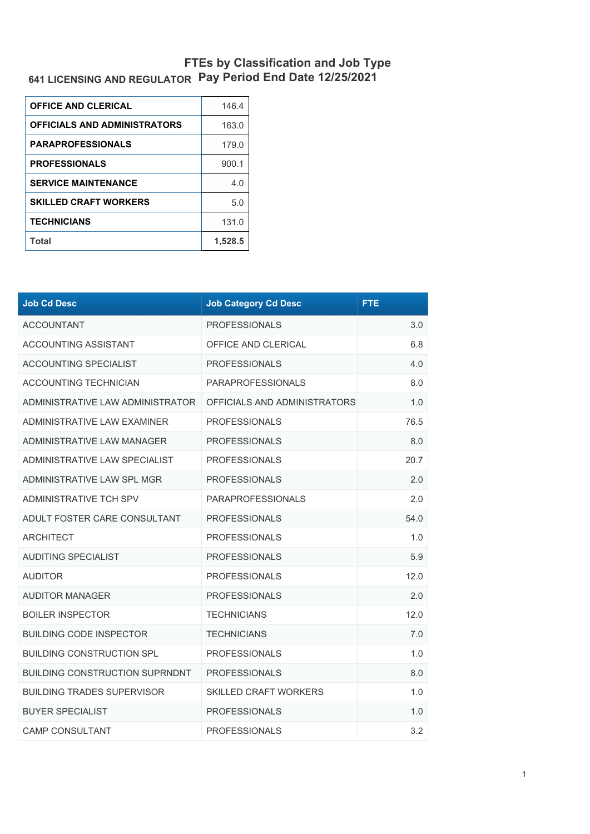## **641 LICENSING AND REGULATOR FTEs by Classification and Job Type Pay Period End Date 12/25/2021**

| <b>OFFICE AND CLERICAL</b>          | 146.4   |
|-------------------------------------|---------|
| <b>OFFICIALS AND ADMINISTRATORS</b> | 163.0   |
| <b>PARAPROFESSIONALS</b>            | 179.0   |
| <b>PROFESSIONALS</b>                | 900.1   |
| <b>SERVICE MAINTENANCE</b>          | 4.0     |
| <b>SKILLED CRAFT WORKERS</b>        | 5.0     |
| <b>TECHNICIANS</b>                  | 131.0   |
| Total                               | 1.528.5 |

| <b>Job Cd Desc</b>                    | <b>Job Category Cd Desc</b>  | <b>FTE</b> |
|---------------------------------------|------------------------------|------------|
| <b>ACCOUNTANT</b>                     | <b>PROFESSIONALS</b>         | 3.0        |
| <b>ACCOUNTING ASSISTANT</b>           | OFFICE AND CLERICAL          | 6.8        |
| <b>ACCOUNTING SPECIALIST</b>          | <b>PROFESSIONALS</b>         | 4.0        |
| <b>ACCOUNTING TECHNICIAN</b>          | <b>PARAPROFESSIONALS</b>     | 8.0        |
| ADMINISTRATIVE LAW ADMINISTRATOR      | OFFICIALS AND ADMINISTRATORS | 1.0        |
| ADMINISTRATIVE LAW EXAMINER           | <b>PROFESSIONALS</b>         | 76.5       |
| ADMINISTRATIVE LAW MANAGER            | <b>PROFESSIONALS</b>         | 8.0        |
| ADMINISTRATIVE LAW SPECIALIST         | <b>PROFESSIONALS</b>         | 20.7       |
| ADMINISTRATIVE LAW SPL MGR            | <b>PROFESSIONALS</b>         | 2.0        |
| ADMINISTRATIVE TCH SPV                | <b>PARAPROFESSIONALS</b>     | 2.0        |
| ADULT FOSTER CARE CONSULTANT          | <b>PROFESSIONALS</b>         | 54.0       |
| ARCHITECT                             | <b>PROFESSIONALS</b>         | 1.0        |
| <b>AUDITING SPECIALIST</b>            | <b>PROFESSIONALS</b>         | 5.9        |
| <b>AUDITOR</b>                        | <b>PROFESSIONALS</b>         | 12.0       |
| <b>AUDITOR MANAGER</b>                | <b>PROFESSIONALS</b>         | 2.0        |
| <b>BOILER INSPECTOR</b>               | <b>TECHNICIANS</b>           | 12.0       |
| <b>BUILDING CODE INSPECTOR</b>        | <b>TECHNICIANS</b>           | 7.0        |
| <b>BUILDING CONSTRUCTION SPL</b>      | <b>PROFESSIONALS</b>         | 1.0        |
| <b>BUILDING CONSTRUCTION SUPRNDNT</b> | <b>PROFESSIONALS</b>         | 8.0        |
| <b>BUILDING TRADES SUPERVISOR</b>     | <b>SKILLED CRAFT WORKERS</b> | 1.0        |
| <b>BUYER SPECIALIST</b>               | <b>PROFESSIONALS</b>         | 1.0        |
| <b>CAMP CONSULTANT</b>                | <b>PROFESSIONALS</b>         | 3.2        |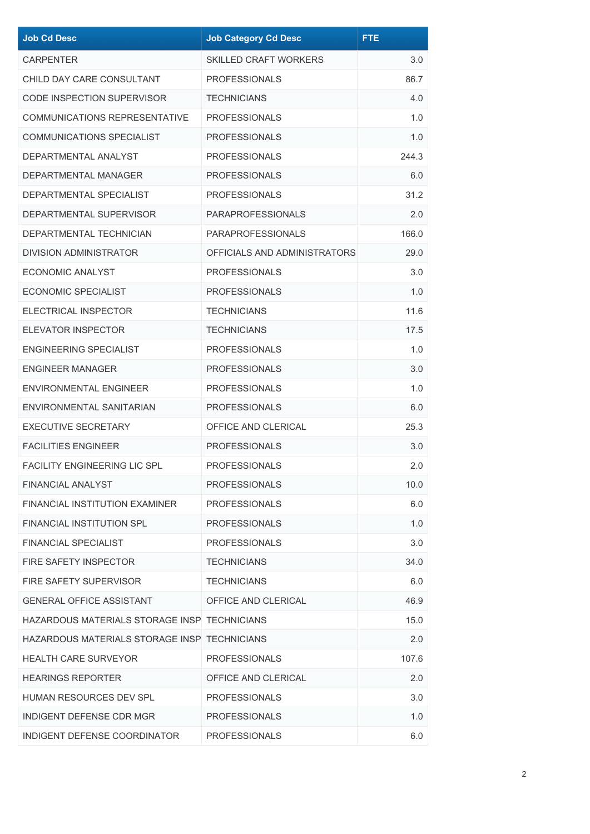| <b>Job Cd Desc</b>                           | <b>Job Category Cd Desc</b>  | <b>FTE</b> |
|----------------------------------------------|------------------------------|------------|
| <b>CARPENTER</b>                             | <b>SKILLED CRAFT WORKERS</b> | 3.0        |
| CHILD DAY CARE CONSULTANT                    | <b>PROFESSIONALS</b>         | 86.7       |
| <b>CODE INSPECTION SUPERVISOR</b>            | <b>TECHNICIANS</b>           | 4.0        |
| <b>COMMUNICATIONS REPRESENTATIVE</b>         | <b>PROFESSIONALS</b>         | 1.0        |
| <b>COMMUNICATIONS SPECIALIST</b>             | <b>PROFESSIONALS</b>         | 1.0        |
| DEPARTMENTAL ANALYST                         | <b>PROFESSIONALS</b>         | 244.3      |
| <b>DEPARTMENTAL MANAGER</b>                  | <b>PROFESSIONALS</b>         | 6.0        |
| DEPARTMENTAL SPECIALIST                      | <b>PROFESSIONALS</b>         | 31.2       |
| DEPARTMENTAL SUPERVISOR                      | <b>PARAPROFESSIONALS</b>     | 2.0        |
| DEPARTMENTAL TECHNICIAN                      | <b>PARAPROFESSIONALS</b>     | 166.0      |
| <b>DIVISION ADMINISTRATOR</b>                | OFFICIALS AND ADMINISTRATORS | 29.0       |
| ECONOMIC ANALYST                             | <b>PROFESSIONALS</b>         | 3.0        |
| <b>ECONOMIC SPECIALIST</b>                   | <b>PROFESSIONALS</b>         | 1.0        |
| <b>ELECTRICAL INSPECTOR</b>                  | <b>TECHNICIANS</b>           | 11.6       |
| <b>ELEVATOR INSPECTOR</b>                    | <b>TECHNICIANS</b>           | 17.5       |
| <b>ENGINEERING SPECIALIST</b>                | <b>PROFESSIONALS</b>         | 1.0        |
| <b>ENGINEER MANAGER</b>                      | <b>PROFESSIONALS</b>         | 3.0        |
| ENVIRONMENTAL ENGINEER                       | <b>PROFESSIONALS</b>         | 1.0        |
| ENVIRONMENTAL SANITARIAN                     | <b>PROFESSIONALS</b>         | 6.0        |
| <b>EXECUTIVE SECRETARY</b>                   | OFFICE AND CLERICAL          | 25.3       |
| <b>FACILITIES ENGINEER</b>                   | <b>PROFESSIONALS</b>         | 3.0        |
| <b>FACILITY ENGINEERING LIC SPL</b>          | <b>PROFESSIONALS</b>         | 2.0        |
| <b>FINANCIAL ANALYST</b>                     | <b>PROFESSIONALS</b>         | 10.0       |
| <b>FINANCIAL INSTITUTION EXAMINER</b>        | <b>PROFESSIONALS</b>         | 6.0        |
| <b>FINANCIAL INSTITUTION SPL</b>             | <b>PROFESSIONALS</b>         | 1.0        |
| <b>FINANCIAL SPECIALIST</b>                  | <b>PROFESSIONALS</b>         | 3.0        |
| <b>FIRE SAFETY INSPECTOR</b>                 | <b>TECHNICIANS</b>           | 34.0       |
| FIRE SAFETY SUPERVISOR                       | <b>TECHNICIANS</b>           | 6.0        |
| <b>GENERAL OFFICE ASSISTANT</b>              | OFFICE AND CLERICAL          | 46.9       |
| HAZARDOUS MATERIALS STORAGE INSP TECHNICIANS |                              | 15.0       |
| HAZARDOUS MATERIALS STORAGE INSP TECHNICIANS |                              | 2.0        |
| <b>HEALTH CARE SURVEYOR</b>                  | <b>PROFESSIONALS</b>         | 107.6      |
| <b>HEARINGS REPORTER</b>                     | OFFICE AND CLERICAL          | 2.0        |
| HUMAN RESOURCES DEV SPL                      | <b>PROFESSIONALS</b>         | 3.0        |
| INDIGENT DEFENSE CDR MGR                     | <b>PROFESSIONALS</b>         | 1.0        |
| INDIGENT DEFENSE COORDINATOR                 | <b>PROFESSIONALS</b>         | 6.0        |